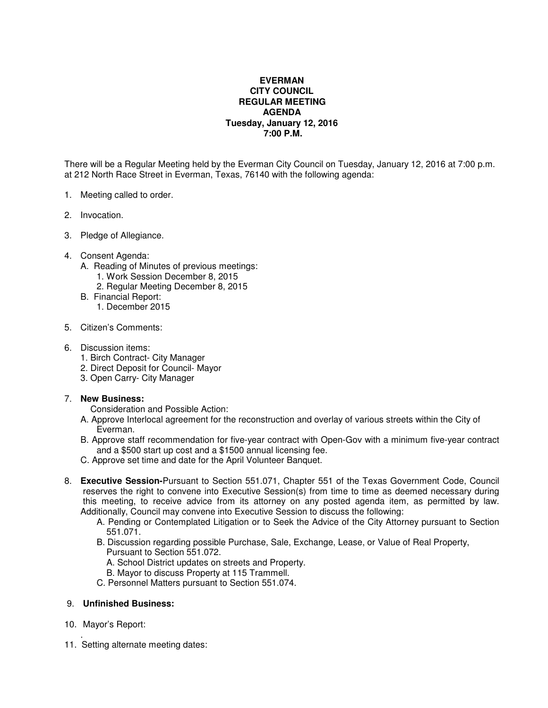## **EVERMAN CITY COUNCIL REGULAR MEETING AGENDA Tuesday, January 12, 2016 7:00 P.M.**

There will be a Regular Meeting held by the Everman City Council on Tuesday, January 12, 2016 at 7:00 p.m. at 212 North Race Street in Everman, Texas, 76140 with the following agenda:

- 1. Meeting called to order.
- 2. Invocation.
- 3. Pledge of Allegiance.
- 4. Consent Agenda:
	- A. Reading of Minutes of previous meetings:
		- 1. Work Session December 8, 2015
		- 2. Regular Meeting December 8, 2015
	- B. Financial Report:
		- 1. December 2015
- 5. Citizen's Comments:
- 6. Discussion items:
	- 1. Birch Contract- City Manager
	- 2. Direct Deposit for Council- Mayor
	- 3. Open Carry- City Manager

## 7. **New Business:**

- Consideration and Possible Action:
- A. Approve Interlocal agreement for the reconstruction and overlay of various streets within the City of Everman.
- B. Approve staff recommendation for five-year contract with Open-Gov with a minimum five-year contract and a \$500 start up cost and a \$1500 annual licensing fee.
- C. Approve set time and date for the April Volunteer Banquet.
- 8. **Executive Session-**Pursuant to Section 551.071, Chapter 551 of the Texas Government Code, Council reserves the right to convene into Executive Session(s) from time to time as deemed necessary during this meeting, to receive advice from its attorney on any posted agenda item, as permitted by law. Additionally, Council may convene into Executive Session to discuss the following:
	- A. Pending or Contemplated Litigation or to Seek the Advice of the City Attorney pursuant to Section 551.071.
	- B. Discussion regarding possible Purchase, Sale, Exchange, Lease, or Value of Real Property, Pursuant to Section 551.072.
		- A. School District updates on streets and Property.
		- B. Mayor to discuss Property at 115 Trammell.
	- C. Personnel Matters pursuant to Section 551.074.

## 9. **Unfinished Business:**

- 10. Mayor's Report:
- . 11. Setting alternate meeting dates: